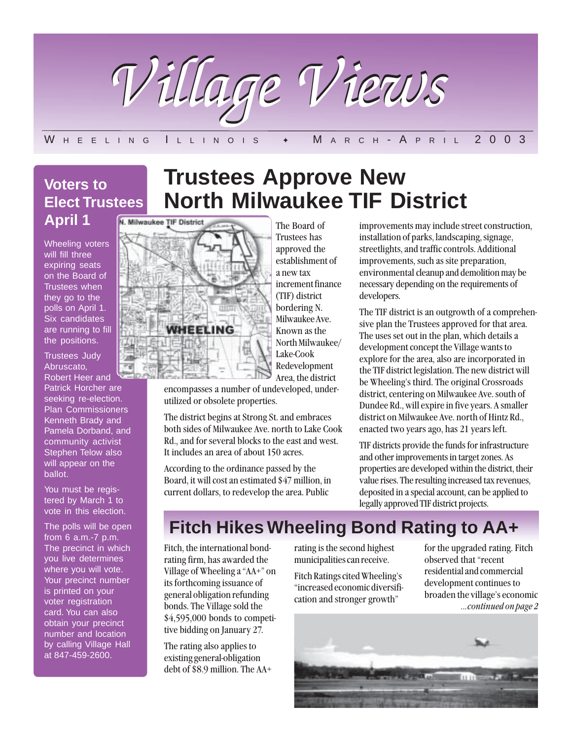

### W H E E LING ILLINOIS  $\rm \bullet \quad M$  A R C H - A P R I L 2003

# **Voters to Elect Trustees April 1**

Wheeling voters will fill three expiring seats on the Board of Trustees when they go to the polls on April 1. Six candidates are running to fill the positions.

Trustees Judy Abruscato, Robert Heer and

Patrick Horcher are seeking re-election. Plan Commissioners Kenneth Brady and Pamela Dorband, and community activist Stephen Telow also will appear on the ballot.

You must be registered by March 1 to vote in this election.

The polls will be open from 6 a.m.-7 p.m. The precinct in which you live determines where you will vote. Your precinct number is printed on your voter registration card. You can also obtain your precinct number and location by calling Village Hall at 847-459-2600.

# **Trustees Approve New North Milwaukee TIF District**

The Board of



. approved the Trustees has establishment of a new tax increment finance (TIF) district bordering N. Milwaukee Ave. Known as the North Milwaukee/ Lake-Cook Redevelopment Area, the district

encompasses a number of undeveloped, underutilized or obsolete properties.

The district begins at Strong St. and embraces both sides of Milwaukee Ave. north to Lake Cook Rd., and for several blocks to the east and west. It includes an area of about 150 acres.

According to the ordinance passed by the Board, it will cost an estimated \$47 million, in current dollars, to redevelop the area. Public

improvements may include street construction, installation of parks, landscaping, signage, streetlights, and traffic controls. Additional improvements, such as site preparation, environmental cleanup and demolition may be necessary depending on the requirements of developers.

The TIF district is an outgrowth of a comprehensive plan the Trustees approved for that area. The uses set out in the plan, which details a development concept the Village wants to explore for the area, also are incorporated in the TIF district legislation. The new district will be Wheeling's third. The original Crossroads district, centering on Milwaukee Ave. south of Dundee Rd., will expire in five years. A smaller district on Milwaukee Ave. north of Hintz Rd., enacted two years ago, has 21 years left.

TIF districts provide the funds for infrastructure and other improvements in target zones. As properties are developed within the district, their value rises. The resulting increased tax revenues, deposited in a special account, can be applied to legally approved TIF district projects.

# **Fitch Hikes Wheeling Bond Rating to AA+**

Fitch, the international bondrating firm, has awarded the Village of Wheeling a "AA+" on its forthcoming issuance of general obligation refunding bonds. The Village sold the \$4,595,000 bonds to competitive bidding on January 27.

The rating also applies to existing general-obligation debt of \$8.9 million. The AA+ rating is the second highest municipalities can receive.

Fitch Ratings cited Wheeling's "increased economic diversification and stronger growth"

...continued on page 2 for the upgraded rating. Fitch observed that "recent residential and commercial development continues to broaden the village's economic

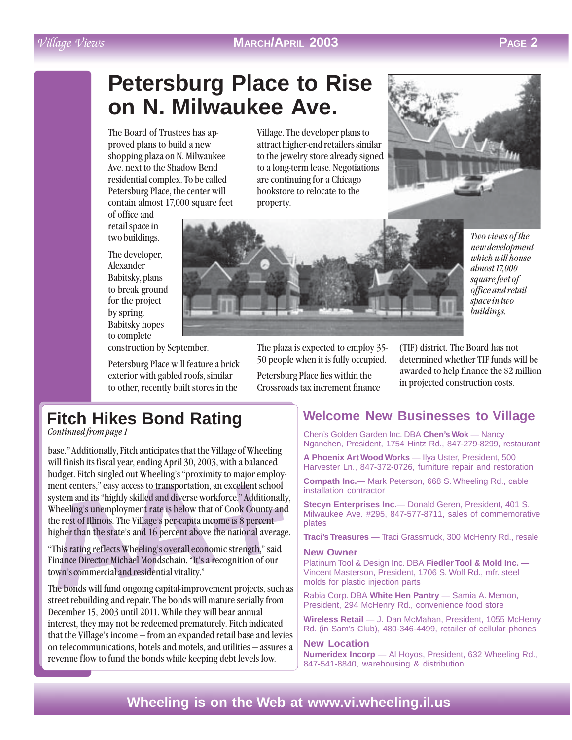## Village Views **MARCH/APRIL 2003 PAGE 2**

# **Petersburg Place to Rise on N. Milwaukee Ave.**

The Board of Trustees has approved plans to build a new shopping plaza on N. Milwaukee Ave. next to the Shadow Bend residential complex. To be called Petersburg Place, the center will contain almost 17,000 square feet

of office and retail space in two buildings.

The developer, Alexander Babitsky, plans to break ground for the project by spring. Babitsky hopes to complete

Village. The developer plans to attract higher-end retailers similar to the jewelry store already signed to a long-term lease. Negotiations are continuing for a Chicago bookstore to relocate to the property.





Two views of the new development which will house almost 17,000 square feet of office and retail space in two buildings.

construction by September.

Petersburg Place will feature a brick exterior with gabled roofs, similar to other, recently built stores in the

The plaza is expected to employ 35- 50 people when it is fully occupied.

Petersburg Place lies within the Crossroads tax increment finance (TIF) district. The Board has not determined whether TIF funds will be awarded to help finance the \$2 million in projected construction costs.

# **Fitch Hikes Bond Rating**

Continued from page 1

ment centers," easy access to transportation, an excellent sc<br>system and its "highly skilled and diverse workforce." Additi<br>Wheeling's unemployment rate is below that of Cook Coun<br>the rest of Illinois. The Village's per-ca base." Additionally, Fitch anticipates that the Village of Wheeling will finish its fiscal year, ending April 30, 2003, with a balanced budget. Fitch singled out Wheeling's "proximity to major employment centers," easy access to transportation, an excellent school system and its "highly skilled and diverse workforce." Additionally, Wheeling's unemployment rate is below that of Cook County and the rest of Illinois. The Village's per-capita income is 8 percent higher than the state's and 16 percent above the national average.

"This rating reflects Wheeling's overall economic strength," said Finance Director Michael Mondschain. "It's a recognition of our town's commercial and residential vitality."

The bonds will fund ongoing capital-improvement projects, such as street rebuilding and repair. The bonds will mature serially from December 15, 2003 until 2011. While they will bear annual interest, they may not be redeemed prematurely. Fitch indicated that the Village's income — from an expanded retail base and levies on telecommunications, hotels and motels, and utilities — assures a revenue flow to fund the bonds while keeping debt levels low.

## **Welcome New Businesses to Village**

Chen's Golden Garden Inc. DBA **Chen's Wok** — Nancy Nganchen, President, 1754 Hintz Rd., 847-279-8299, restaurant

**A Phoenix Art Wood Works** — Ilya Uster, President, 500 Harvester Ln., 847-372-0726, furniture repair and restoration

**Compath Inc.**— Mark Peterson, 668 S. Wheeling Rd., cable installation contractor

**Stecyn Enterprises Inc.**— Donald Geren, President, 401 S. Milwaukee Ave. #295, 847-577-8711, sales of commemorative plates

**Traci's Treasures** — Traci Grassmuck, 300 McHenry Rd., resale

#### **New Owner**

Platinum Tool & Design Inc. DBA **Fiedler Tool & Mold Inc. —** Vincent Masterson, President, 1706 S. Wolf Rd., mfr. steel molds for plastic injection parts

Rabia Corp. DBA **White Hen Pantry** — Samia A. Memon, President, 294 McHenry Rd., convenience food store

**Wireless Retail** — J. Dan McMahan, President, 1055 McHenry Rd. (in Sam's Club), 480-346-4499, retailer of cellular phones

#### **New Location**

**Numeridex Incorp** — Al Hoyos, President, 632 Wheeling Rd., 847-541-8840, warehousing & distribution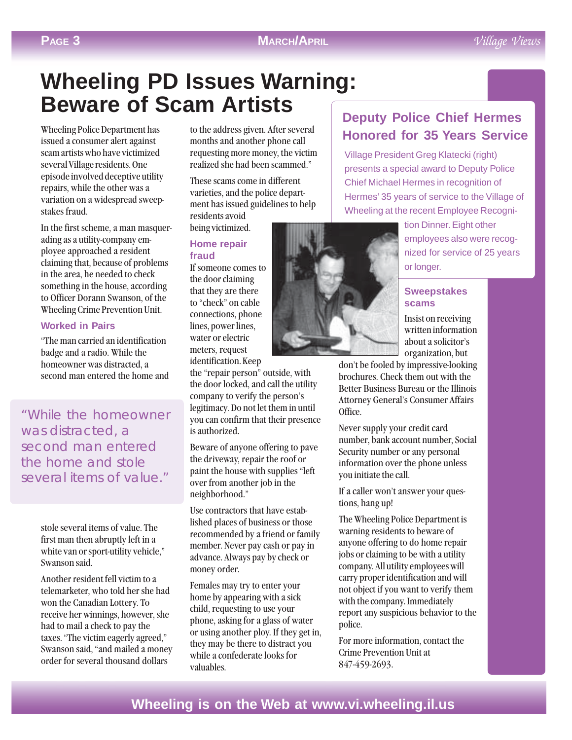# **Wheeling PD Issues Warning: Beware of Scam Artists**

Wheeling Police Department has issued a consumer alert against scam artists who have victimized several Village residents. One episode involved deceptive utility repairs, while the other was a variation on a widespread sweepstakes fraud.

In the first scheme, a man masquerading as a utility-company employee approached a resident claiming that, because of problems in the area, he needed to check something in the house, according to Officer Dorann Swanson, of the Wheeling Crime Prevention Unit.

### **Worked in Pairs**

"The man carried an identification badge and a radio. While the homeowner was distracted, a second man entered the home and

"While the homeowner was distracted, a second man entered the home and stole several items of value."

> stole several items of value. The first man then abruptly left in a white van or sport-utility vehicle," Swanson said.

Another resident fell victim to a telemarketer, who told her she had won the Canadian Lottery. To receive her winnings, however, she had to mail a check to pay the taxes. "The victim eagerly agreed," Swanson said, "and mailed a money order for several thousand dollars

to the address given. After several months and another phone call requesting more money, the victim realized she had been scammed."

These scams come in different varieties, and the police department has issued guidelines to help residents avoid

#### being victimized. **Home repair fraud**

If someone comes to the door claiming that they are there to "check" on cable connections, phone lines, power lines, water or electric meters, request identification. Keep

the "repair person" outside, with the door locked, and call the utility company to verify the person's legitimacy. Do not let them in until you can confirm that their presence is authorized.

Beware of anyone offering to pave the driveway, repair the roof or paint the house with supplies "left over from another job in the neighborhood."

Use contractors that have established places of business or those recommended by a friend or family member. Never pay cash or pay in advance. Always pay by check or money order.

Females may try to enter your home by appearing with a sick child, requesting to use your phone, asking for a glass of water or using another ploy. If they get in, they may be there to distract you while a confederate looks for valuables.

# **Deputy Police Chief Hermes Honored for 35 Years Service**

Village President Greg Klatecki (right) presents a special award to Deputy Police Chief Michael Hermes in recognition of Hermes' 35 years of service to the Village of Wheeling at the recent Employee Recogni-



tion Dinner. Eight other employees also were recognized for service of 25 years or longer.

#### **Sweepstakes scams**

Insist on receiving written information about a solicitor's organization, but

don't be fooled by impressive-looking brochures. Check them out with the Better Business Bureau or the Illinois Attorney General's Consumer Affairs Office.

Never supply your credit card number, bank account number, Social Security number or any personal information over the phone unless you initiate the call.

If a caller won't answer your questions, hang up!

The Wheeling Police Department is warning residents to beware of anyone offering to do home repair jobs or claiming to be with a utility company. All utility employees will carry proper identification and will not object if you want to verify them with the company. Immediately report any suspicious behavior to the police.

For more information, contact the Crime Prevention Unit at 847-459-2693.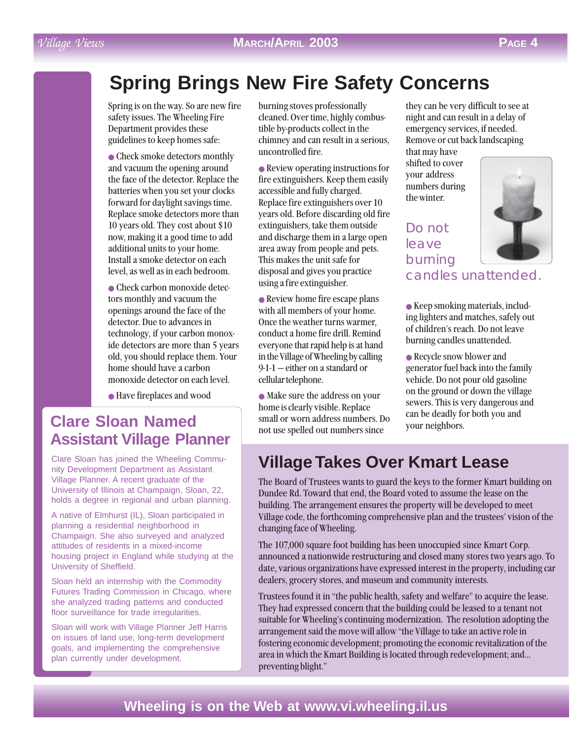# **Spring Brings New Fire Safety Concerns**

Spring is on the way. So are new fire safety issues. The Wheeling Fire Department provides these guidelines to keep homes safe:

• Check smoke detectors monthly and vacuum the opening around the face of the detector. Replace the batteries when you set your clocks forward for daylight savings time. Replace smoke detectors more than 10 years old. They cost about \$10 now, making it a good time to add additional units to your home. Install a smoke detector on each level, as well as in each bedroom.

● Check carbon monoxide detectors monthly and vacuum the openings around the face of the detector. Due to advances in technology, if your carbon monoxide detectors are more than 5 years old, you should replace them. Your home should have a carbon monoxide detector on each level.

● Have fireplaces and wood

# **Clare Sloan Named Assistant Village Planner**

Clare Sloan has joined the Wheeling Community Development Department as Assistant Village Planner. A recent graduate of the University of Illinois at Champaign, Sloan, 22, holds a degree in regional and urban planning.

A native of Elmhurst (IL), Sloan participated in planning a residential neighborhood in Champaign. She also surveyed and analyzed attitudes of residents in a mixed-income housing project in England while studying at the University of Sheffield.

Sloan held an internship with the Commodity Futures Trading Commission in Chicago, where she analyzed trading patterns and conducted floor surveillance for trade irregularities.

Sloan will work with Village Planner Jeff Harris on issues of land use, long-term development goals, and implementing the comprehensive plan currently under development.

burning stoves professionally cleaned. Over time, highly combustible by-products collect in the chimney and can result in a serious, uncontrolled fire.

● Review operating instructions for fire extinguishers. Keep them easily accessible and fully charged. Replace fire extinguishers over 10 years old. Before discarding old fire extinguishers, take them outside and discharge them in a large open area away from people and pets. This makes the unit safe for disposal and gives you practice using a fire extinguisher.

● Review home fire escape plans with all members of your home. Once the weather turns warmer, conduct a home fire drill. Remind everyone that rapid help is at hand in the Village of Wheeling by calling 9-1-1 — either on a standard or cellular telephone.

● Make sure the address on your home is clearly visible. Replace small or worn address numbers. Do not use spelled out numbers since

they can be very difficult to see at night and can result in a delay of emergency services, if needed. Remove or cut back landscaping

that may have shifted to cover your address numbers during the winter.

Do not leave burning



candles unattended.

● Keep smoking materials, including lighters and matches, safely out of children's reach. Do not leave burning candles unattended.

• Recycle snow blower and generator fuel back into the family vehicle. Do not pour old gasoline on the ground or down the village sewers. This is very dangerous and can be deadly for both you and your neighbors.

# **Village Takes Over Kmart Lease**

The Board of Trustees wants to guard the keys to the former Kmart building on Dundee Rd. Toward that end, the Board voted to assume the lease on the building. The arrangement ensures the property will be developed to meet Village code, the forthcoming comprehensive plan and the trustees' vision of the changing face of Wheeling.

The 107,000 square foot building has been unoccupied since Kmart Corp. announced a nationwide restructuring and closed many stores two years ago. To date, various organizations have expressed interest in the property, including car dealers, grocery stores, and museum and community interests.

Trustees found it in "the public health, safety and welfare" to acquire the lease. They had expressed concern that the building could be leased to a tenant not suitable for Wheeling's continuing modernization. The resolution adopting the arrangement said the move will allow "the Village to take an active role in fostering economic development; promoting the economic revitalization of the area in which the Kmart Building is located through redevelopment; and... preventing blight."

# Village Views **MARCH/APRIL 2003 PAGE 4**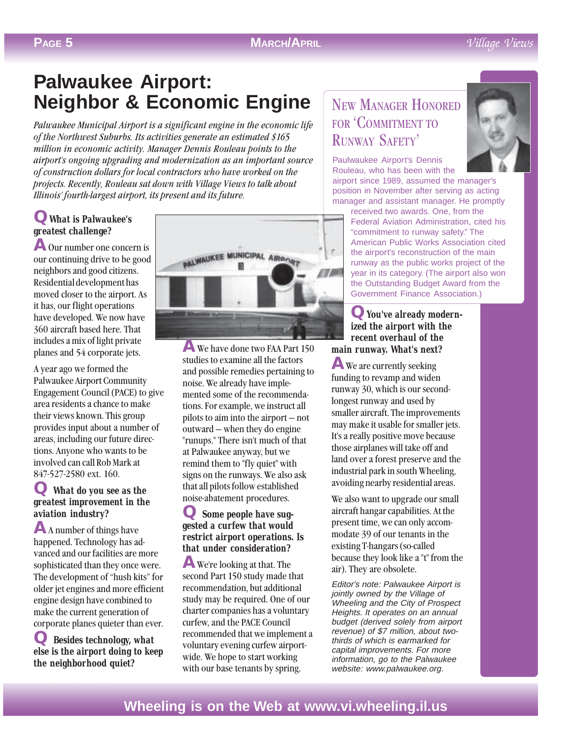# **Palwaukee Airport: Neighbor & Economic Engine**

Palwaukee Municipal Airport is a significant engine in the economic life of the Northwest Suburbs. Its activities generate an estimated \$165 million in economic activity. Manager Dennis Rouleau points to the airport's ongoing upgrading and modernization as an important source of construction dollars for local contractors who have worked on the projects. Recently, Rouleau sat down with Village Views to talk about Illinois' fourth-largest airport, its present and its future.

## **QWhat is Palwaukee's greatest challenge?**

**A** Our number one concern is our continuing drive to be good neighbors and good citizens. Residential development has moved closer to the airport. As it has, our flight operations have developed. We now have 360 aircraft based here. That includes a mix of light private planes and 54 corporate jets.

A year ago we formed the Palwaukee Airport Community Engagement Council (PACE) to give area residents a chance to make their views known. This group provides input about a number of areas, including our future directions. Anyone who wants to be involved can call Rob Mark at 847-527-2580 ext. 160.

### **Q What do you see as the greatest improvement in the aviation industry?**

**A** A number of things have happened. Technology has advanced and our facilities are more sophisticated than they once were. The development of "hush kits" for older jet engines and more efficient engine design have combined to make the current generation of corporate planes quieter than ever.

**Q Besides technology**, what **else is the airport doing to keep the neighborhood quiet?**



**A** We have done two FAA Part 150 studies to examine all the factors and possible remedies pertaining to noise. We already have implemented some of the recommendations. For example, we instruct all pilots to aim into the airport — not outward — when they do engine "runups." There isn't much of that at Palwaukee anyway, but we remind them to "fly quiet" with signs on the runways. We also ask that all pilots follow established noise-abatement procedures.

### **Q Some people have suggested a curfew that would restrict airport operations. Is that under consideration?**

**A** We're looking at that. The second Part 150 study made that recommendation, but additional study may be required. One of our charter companies has a voluntary curfew, and the PACE Council recommended that we implement a voluntary evening curfew airportwide. We hope to start working with our base tenants by spring.

# NEW MANAGER HONORED FOR 'COMMITMENT TO RUNWAY SAFETY'

Paulwaukee Airport's Dennis Rouleau, who has been with the

airport since 1989, assumed the manager's position in November after serving as acting manager and assistant manager. He promptly

received two awards. One, from the Federal Aviation Administration, cited his "commitment to runway safety." The American Public Works Association cited the airport's reconstruction of the main runway as the public works project of the year in its category. (The airport also won the Outstanding Budget Award from the Government Finance Association.)

#### **QYou've already modernized the airport with the recent overhaul of the main runway. What's next?**

**A** We are currently seeking funding to revamp and widen runway 30, which is our secondlongest runway and used by smaller aircraft. The improvements may make it usable for smaller jets. It's a really positive move because those airplanes will take off and land over a forest preserve and the industrial park in south Wheeling, avoiding nearby residential areas.

We also want to upgrade our small aircraft hangar capabilities. At the present time, we can only accommodate 39 of our tenants in the existing T-hangars (so-called because they look like a "t" from the air). They are obsolete.

Editor's note: Palwaukee Airport is jointly owned by the Village of Wheeling and the City of Prospect Heights. It operates on an annual budget (derived solely from airport revenue) of \$7 million, about twothirds of which is earmarked for capital improvements. For more information, go to the Palwaukee website: www.palwaukee.org.

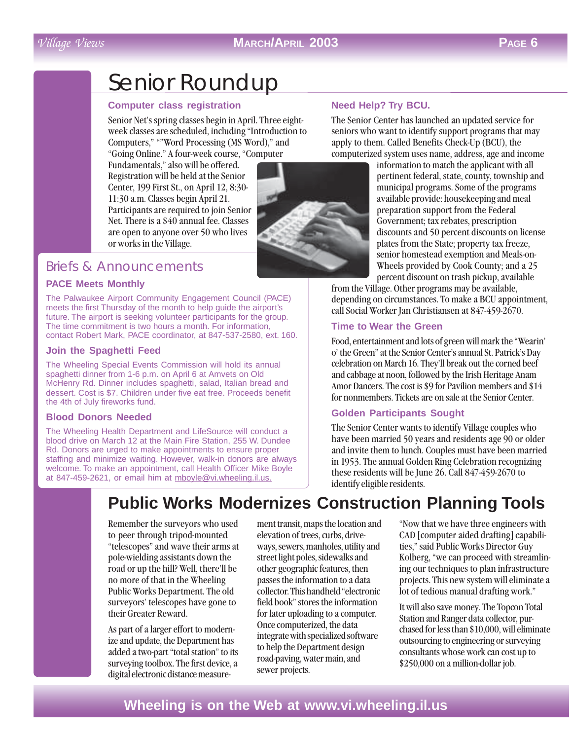## Village Views **MARCH/APRIL 2003 PAGE 6**

# Senior Roundup

#### **Computer class registration**

Senior Net's spring classes begin in April. Three eightweek classes are scheduled, including "Introduction to Computers," ""Word Processing (MS Word)," and "Going Online." A four-week course, "Computer

Fundamentals," also will be offered. Registration will be held at the Senior Center, 199 First St., on April 12, 8:30- 11:30 a.m. Classes begin April 21. Participants are required to join Senior Net. There is a \$40 annual fee. Classes are open to anyone over 50 who lives or works in the Village.

## Briefs & Announcements

#### **PACE Meets Monthly**

The Palwaukee Airport Community Engagement Council (PACE) meets the first Thursday of the month to help guide the airport's future. The airport is seeking volunteer participants for the group. The time commitment is two hours a month. For information, contact Robert Mark, PACE coordinator, at 847-537-2580, ext. 160.

#### **Join the Spaghetti Feed**

The Wheeling Special Events Commission will hold its annual spaghetti dinner from 1-6 p.m. on April 6 at Amvets on Old McHenry Rd. Dinner includes spaghetti, salad, Italian bread and dessert. Cost is \$7. Children under five eat free. Proceeds benefit the 4th of July fireworks fund.

#### **Blood Donors Needed**

The Wheeling Health Department and LifeSource will conduct a blood drive on March 12 at the Main Fire Station, 255 W. Dundee Rd. Donors are urged to make appointments to ensure proper staffing and minimize waiting. However, walk-in donors are always welcome. To make an appointment, call Health Officer Mike Boyle at 847-459-2621, or email him at mboyle@vi.wheeling.il.us.



The Senior Center has launched an updated service for seniors who want to identify support programs that may apply to them. Called Benefits Check-Up (BCU), the computerized system uses name, address, age and income

information to match the applicant with all pertinent federal, state, county, township and municipal programs. Some of the programs available provide: housekeeping and meal preparation support from the Federal Government; tax rebates, prescription discounts and 50 percent discounts on license plates from the State; property tax freeze, senior homestead exemption and Meals-on-Wheels provided by Cook County; and a 25 percent discount on trash pickup, available

from the Village. Other programs may be available, depending on circumstances. To make a BCU appointment, call Social Worker Jan Christiansen at 847-459-2670.

#### **Time to Wear the Green**

Food, entertainment and lots of green will mark the "Wearin' o' the Green" at the Senior Center's annual St. Patrick's Day celebration on March 16. They'll break out the corned beef and cabbage at noon, followed by the Irish Heritage Anam Amor Dancers. The cost is \$9 for Pavilion members and \$14 for nonmembers. Tickets are on sale at the Senior Center.

### **Golden Participants Sought**

The Senior Center wants to identify Village couples who have been married 50 years and residents age 90 or older and invite them to lunch. Couples must have been married in 1953. The annual Golden Ring Celebration recognizing these residents will be June 26. Call 847-459-2670 to identify eligible residents.

# **Public Works Modernizes Construction Planning Tools**

Remember the surveyors who used to peer through tripod-mounted "telescopes" and wave their arms at pole-wielding assistants down the road or up the hill? Well, there'll be no more of that in the Wheeling Public Works Department. The old surveyors' telescopes have gone to their Greater Reward.

As part of a larger effort to modernize and update, the Department has added a two-part "total station" to its surveying toolbox. The first device, a digital electronic distance measure-

ment transit, maps the location and elevation of trees, curbs, driveways, sewers, manholes, utility and street light poles, sidewalks and other geographic features, then passes the information to a data collector. This handheld "electronic field book" stores the information for later uploading to a computer. Once computerized, the data integrate with specialized software to help the Department design road-paving, water main, and sewer projects.

"Now that we have three engineers with CAD [computer aided drafting] capabilities," said Public Works Director Guy Kolberg, "we can proceed with streamlining our techniques to plan infrastructure projects. This new system will eliminate a lot of tedious manual drafting work."

It will also save money. The Topcon Total Station and Ranger data collector, purchased for less than \$10,000, will eliminate outsourcing to engineering or surveying consultants whose work can cost up to \$250,000 on a million-dollar job.

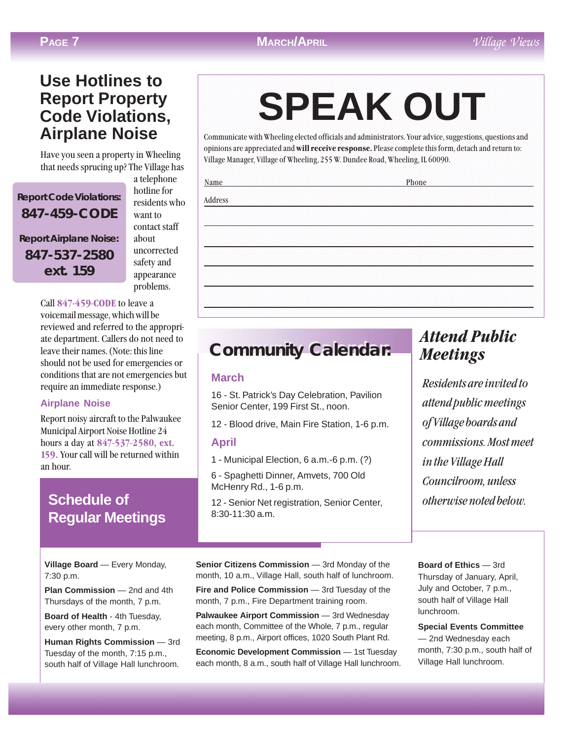## **MARCH/APRIL** Village Views

# **Use Hotlines to Report Property Code Violations, Airplane Noise**

Have you seen a property in Wheeling that needs sprucing up? The Village has

**Report Code Violations: 847-459-CODE Report Airplane Noise: 847-537-2580 ext. 159**

a telephone hotline for residents who want to contact staff about uncorrected safety and appearance problems.

Call 847-459-CODE to leave a voicemail message, which will be reviewed and referred to the appropriate department. Callers do not need to leave their names. (Note: this line should not be used for emergencies or conditions that are not emergencies but require an immediate response.)

### **Airplane Noise**

Report noisy aircraft to the Palwaukee Municipal Airport Noise Hotline 24 hours a day at 847-537-2580, ext. 159. Your call will be returned within an hour.

# **Schedule of Regular Meetings**

**Village Board** — Every Monday, 7:30 p.m.

**Plan Commission** — 2nd and 4th Thursdays of the month, 7 p.m.

**Board of Health** - 4th Tuesday, every other month, 7 p.m.

**Human Rights Commission** — 3rd Tuesday of the month, 7:15 p.m., south half of Village Hall lunchroom.

#### 1234567890123456789012345678901212345678901234567890123456789012123456789012345678901234567890121234567890123456 1234567890123456789012345678901212345678901234567890123456789012123456789012345678901234567890121234567890123456 1234567890123456789012345678901212345678901234567890123456789012123456789012345678901234567890121234567890123456 **SPEAK OUT** 1234567890123456789012345678901212345678901234567890123456789012123456789012345678901234567890121234567890123456 1234567890123456789012345678901212345678901234567890123456789012123456789012345678901234567890121234567890123456 1234567890123456789012345678901212345678901234567890123456789012123456789012345678901234567890121234567890123456 1 6 **SPEAK OUT**

1234567890123456789012345678901212345678901234567890123456789012123456789012345678901234567890121234567890123456 1234567890123456789012345678901212345678901234567890123456789012123456789012345678901234567890121234567890123456

Communicate with Wheeling elected officials and administrators. Your advice, suggestions, questions and opinions are appreciated and will receive response. Please complete this form, detach and return to: Village Manager, Village of Wheeling, 255 W. Dundee Road, Wheeling, IL 60090. 1234567890123456789012345678901212345678901234567890123456789012123456789012345678901234567890121234567890123456

1234567890123456789012345678901212345678901234567890123456789012123456789012345678901234567890121234567890123456 1234567890123456789012345678901212345678901234567890123456789012123456789012345678901234567890121234567890123456 1234567890123456789012345678901212345678901234567890123456789012123456789012345678901234567890121234567890123456

1234567890123456789012345678901212345678901234567890123456789012123456789012345678901234567890121234567890123456 1234567890123456789012345678901212345678901234567890123456789012123456789012345678901234567890121234567890123456 1234567890123456789012345678901212345678901234567890123456789012123456789012345678901234567890121234567890123456 1234567890123456789012345678901212345678901234567890123456789012123456789012345678901234567890121234567890123456 1234567890123456789012345678901212345678901234567890123456789012123456789012345678901234567890121234567890123456 1234567890123456789012345678901212345678901234567890123456789012123456789012345678901234567890121234567890123456 1234567890123456789012345678901212345678901234567890123456789012123456789012345678901234567890121234567890123456 1 6 1234567890123456789012345678901212345678901234567890123456789012123456789012345678901234567890121234567890123456 1234567890123456789012345678901212345678901234567890123456789012123456789012345678901234567890121234567890123456 1234567890123456789012345678901212345678901234567890123456789012123456789012345678901234567890121234567890123456 1234567890123456789012345678901212345678901234567890123456789012123456789012345678901234567890121234567890123456 1 6 1234567890123456789012345678901212345678901234567890123456789012123456789012345678901234567890121234567890123456 1234567890123456789012345678901212345678901234567890123456789012123456789012345678901234567890121234567890123456 1234567890123456789012345678901212345678901234567890123456789012123456789012345678901234567890121234567890123456 1234567890123456789012345678901212345678901234567890123456789012123456789012345678901234567890121234567890123456 1234567890123456789012345678901212345678901234567890123456789012123456789012345678901234567890121234567890123456 1234567890123456789012345678901212345678901234567890123456789012123456789012345678901234567890121234567890123456 1234567890123456789012345678901212345678901234567890123456789012123456789012345678901234567890121234567890123456 1234567890123456789012345678901212345678901234567890123456789012123456789012345678901234567890121234567890123456 1234567890123456789012345678901212345678901234567890123456789012123456789012345678901234567890121234567890123456 1234567890123456789012345678901212345678901234567890123456789012123456789012345678901234567890121234567890123456 1234567890123456789012345678901212345678901234567890123456789012123456789012345678901234567890121234567890123456 1234567890123456789012345678901212345678901234567890123456789012123456789012345678901234567890121234567890123456 1234567890123456789012345678901212345678901234567890123456789012123456789012345678901234567890121234567890123456 1234567890123456789012345678901212345678901234567890123456789012123456789012345678901234567890121234567890123456 1234567890123456789012345678901212345678901234567890123456789012123456789012345678901234567890121234567890123456 1234567890123456789012345678901212345678901234567890123456789012123456789012345678901234567890121234567890123456 1234567890123456789012345678901212345678901234567890123456789012123456789012345678901234567890121234567890123456 1234567890123456789012345678901212345678901234567890123456789012123456789012345678901234567890121234567890123456 1234567890123456789012345678901212345678901234567890123456789012123456789012345678901234567890121234567890123456 1234567890123456789012345678901212345678901234567890123456789012123456789012345678901234567890121234567890123456 1234567890123456789012345678901212345678901234567890123456789012123456789012345678901234567890121234567890123456 1234567890123456789012345678901212345678901234567890123456789012123456789012345678901234567890121234567890123456 1234567890123456789012345678901212345678901234567890123456789012123456789012345678901234567890121234567890123456 1234567890123456789012345678901212345678901234567890123456789012123456789012345678901234567890121234567890123456 1234567890123456789012345678901212345678901234567890123456789012123456789012345678901234567890121234567890123456 1234567890123456789012345678901212345678901234567890123456789012123456789012345678901234567890121234567890123456 1234567890123456789012345678901212345678901234567890123456789012123456789012345678901234567890121234567890123456 1234567890123456789012345678901212345678901234567890123456789012123456789012345678901234567890121234567890123456 1234567890123456789012345678901212345678901234567890123456789012123456789012345678901234567890121234567890123456

# **Community Calendar: Community Calendar:**

### **March**

16 - St. Patrick's Day Celebration, Pavilion Senior Center, 199 First St., noon.

12 - Blood drive, Main Fire Station, 1-6 p.m.

### **April**

1 - Municipal Election, 6 a.m.-6 p.m. (?)

6 - Spaghetti Dinner, Amvets, 700 Old McHenry Rd., 1-6 p.m.

12 - Senior Net registration, Senior Center, 8:30-11:30 a.m.

# Attend Public Meetings

Residents are invited to attend public meetings of Village boards and commissions. Most meet in the Village Hall Councilroom, unless otherwise noted below.

**Senior Citizens Commission** — 3rd Monday of the month, 10 a.m., Village Hall, south half of lunchroom.

**Fire and Police Commission** — 3rd Tuesday of the month, 7 p.m., Fire Department training room.

**Palwaukee Airport Commission** — 3rd Wednesday each month, Committee of the Whole, 7 p.m., regular meeting, 8 p.m., Airport offices, 1020 South Plant Rd.

**Economic Development Commission** - 1st Tuesday each month, 8 a.m., south half of Village Hall lunchroom. **Board of Ethics** — 3rd Thursday of January, April, July and October, 7 p.m., south half of Village Hall lunchroom.

**Special Events Committee** — 2nd Wednesday each month, 7:30 p.m., south half of Village Hall lunchroom.